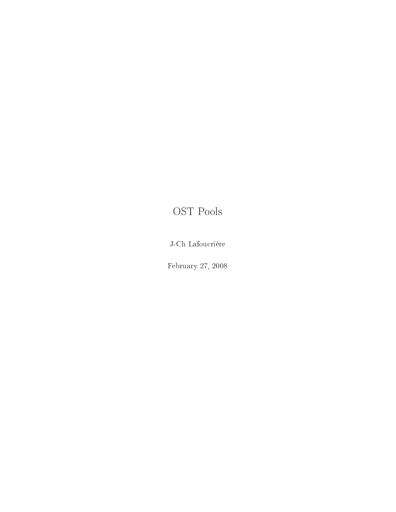# OST Pools

J-Ch Lafou
rière

February 27, <sup>2008</sup>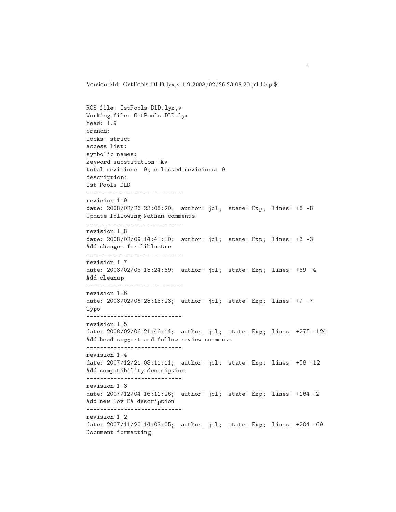Version \$Id: OstPools-DLD.lyx,v 1.9 2008/02/26 23:08:20 j
l Exp \$

```
RCS file: OstPools-DLD.lyx,v
Working file: OstPools-DLD.lyx
head: 1.9bran
h:
locks: strict
access list:
symbolic names:
keyword substitution: kv
total revisions: 9; sele
ted revisions: 9
des
ription:
Ost Pools DLD
----------------------------
revision 1.9
date: 2008/02/26 23:08:20; author: jcl; state: Exp; lines: +8 -8
Update following Nathan 
omments
----------------------------
revision 1.8
date: 2008/02/09 14:41:10; author: jcl; state: Exp; lines: +3 -3
Add 
hanges for liblustre
----------------------------
revision 1.7
date: 2008/02/08 13:24:39; author: jcl; state: Exp; lines: +39 -4
Add 
leanup
revision 1.6
date: 2008/02/06 23:13:23; author: jcl; state: Exp; lines: +7 -7
Typo
----------------------------
revision 1.5
date: 2008/02/06 21:46:14; author: jcl; state: Exp; lines: +275 -124
Add head support and follow review 
omments
-----------------------------
revision 1.4
date: 2007/12/21 08:11:11; author: jcl; state: Exp; lines: +58 -12
Add 
ompatibility des
ription
----------------------------
revision 1.3
date: 2007/12/04 16:11:26; author: jcl; state: Exp; lines: +164 -2
Add new lov EA description
----------------------------
revision 1.2
date: 2007/11/20 14:03:05; author: jcl; state: Exp; lines: +204 -69
Do
ument formatting
```
 $\mathbf{1}$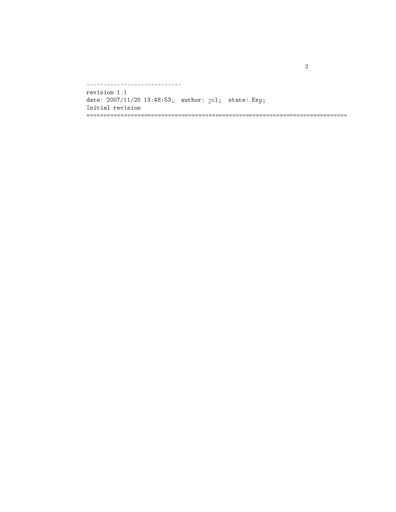--------------------------- revision 1.1 date: 2007/11/20 13:48:53; author: j
l; state: Exp; Initial revision =============================================================================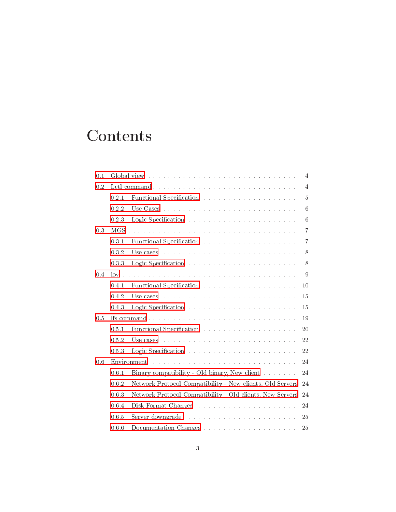# Contents

| 0.1 |                                                                                                                                                                                                                                |                                                                                                                                                                                                                                | 4              |  |
|-----|--------------------------------------------------------------------------------------------------------------------------------------------------------------------------------------------------------------------------------|--------------------------------------------------------------------------------------------------------------------------------------------------------------------------------------------------------------------------------|----------------|--|
| 0.2 | $\overline{4}$                                                                                                                                                                                                                 |                                                                                                                                                                                                                                |                |  |
|     | 0.2.1                                                                                                                                                                                                                          |                                                                                                                                                                                                                                | $\rm 5$        |  |
|     | 0.2.2                                                                                                                                                                                                                          |                                                                                                                                                                                                                                | 6              |  |
|     | 0.2.3                                                                                                                                                                                                                          |                                                                                                                                                                                                                                | 6              |  |
| 0.3 | MGS                                                                                                                                                                                                                            |                                                                                                                                                                                                                                | $\overline{7}$ |  |
|     | 0.3.1                                                                                                                                                                                                                          |                                                                                                                                                                                                                                | $\overline{7}$ |  |
|     | 0.3.2                                                                                                                                                                                                                          | Use cases received a series of the contract of the contract of the contract of the contract of the contract of the contract of the contract of the contract of the contract of the contract of the contract of the contract of | 8              |  |
|     | 0.3.3                                                                                                                                                                                                                          |                                                                                                                                                                                                                                | 8              |  |
| 0.4 |                                                                                                                                                                                                                                |                                                                                                                                                                                                                                | 9              |  |
|     | 0.4.1                                                                                                                                                                                                                          | Functional Specification (1) and (1) and (1) and (1) and (1) and (1) and (1) and (1) and (1) and (1) and (1) and (1) and (1) and (1) and (1) and (1) and (1) and (1) and (1) and (1) and (1) and (1) and (1) and (1) and (1) a | 10             |  |
|     | 0.4.2                                                                                                                                                                                                                          | Use cases and a contract of the contract of the contract of the contract of the contract of the contract of the contract of the contract of the contract of the contract of the contract of the contract of the contract of th | 15             |  |
|     | 0.4.3                                                                                                                                                                                                                          |                                                                                                                                                                                                                                | 15             |  |
| 0.5 | 19                                                                                                                                                                                                                             |                                                                                                                                                                                                                                |                |  |
|     | 0.5.1                                                                                                                                                                                                                          |                                                                                                                                                                                                                                | 20             |  |
|     | 0.5.2                                                                                                                                                                                                                          | Use cases reconstruction of the contract of the contract of the contract of the contract of the contract of the contract of the contract of the contract of the contract of the contract of the contract of the contract of th | 22             |  |
|     | 0.5.3                                                                                                                                                                                                                          |                                                                                                                                                                                                                                | 22             |  |
| 0.6 | Environment and a construction of the construction of the construction of the construction of the construction of the construction of the construction of the construction of the construction of the construction of the cons |                                                                                                                                                                                                                                |                |  |
|     | 0.6.1                                                                                                                                                                                                                          | Binary compatibility - Old binary, New client                                                                                                                                                                                  | 24             |  |
|     | 0.6.2<br>Network Protocol Compatibility - New clients, Old Servers<br>24                                                                                                                                                       |                                                                                                                                                                                                                                |                |  |
|     | 0.6.3                                                                                                                                                                                                                          | Network Protocol Compatibility - Old clients, New Servers<br>24                                                                                                                                                                |                |  |
|     | 0.6.4                                                                                                                                                                                                                          |                                                                                                                                                                                                                                | 24             |  |
|     | 0.6.5                                                                                                                                                                                                                          |                                                                                                                                                                                                                                | 25             |  |
|     | 0.6.6                                                                                                                                                                                                                          |                                                                                                                                                                                                                                | 25             |  |
|     |                                                                                                                                                                                                                                |                                                                                                                                                                                                                                |                |  |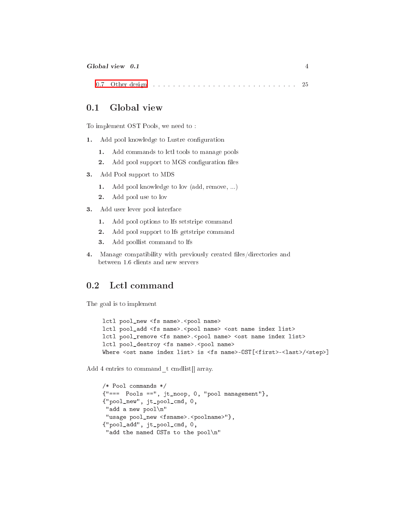|--|

#### <span id="page-4-0"></span>Global view  $0.1$

To implement OST Pools, we need to :

- 1.Add pool knowledge to Lustre configuration
	- <u>of the communication</u> is the communication of the sec
	- 2. Add pool support to MGS onguration les
- Add Pool support to MDS 3.
	- 1. Add pool knowledge to lov (add, remove, ...)
	- 2.Add pool use to lov
- Add user lever pool interfa
e
	- 1.Add pool options to lfs setstripe ommand
	- 2.Add pool support to lfs getstripe ommand
	- 3.Add poollist ommand to lfs
- Manage compatibility with previously created files/directories and between 1.6 lients and new servers

#### <span id="page-4-1"></span> $0.2$ Lctl command  $-$

The goal is to implement

```
lctl pool_new <fs name>.<pool name>
lctl pool_add <fs name>.<pool name> <ost name index list>
lctl pool_remove <fs name>.<pool name> <ost name index list>
lctl pool_destroy <fs name>.<pool name>
Where <ost name index list> is <fs name>-OST[<first>-<last>/<step>]
```
Add 4 entries to command  $\bar{t}$  emdlist array.

```
/* Pool 
ommands */
{"== Pools ==", jt\_noop, 0, "pool management"},
{"pool_new", jt_pool_cmd, 0,
"add a new pool\n"
"usage pool_new <fsname>.<poolname>"},
{"pool_add", jt_pool_
md, 0,
"add the named OSTs to the pool\n"
```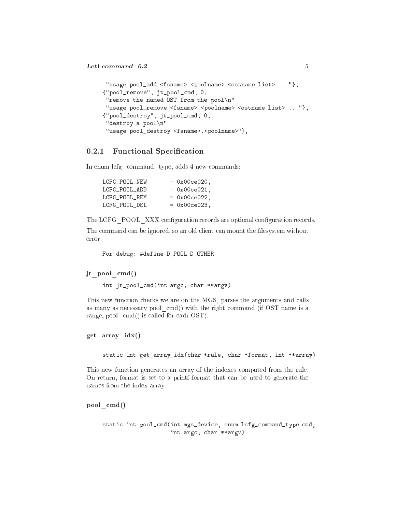```
"usage pool_add <fsname>.<poolname> <ostname list> ..."},
{"pool_remove", jt_pool_
md, 0,
"remove the named OST from the pool\n"
"usage pool_remove <fsname>.<poolname> <ostname list> ..."},
{"pool_destroy", jt_pool_
md, 0,
"destroy a pool\n"
"usage pool_destroy <fsname>.<poolname>"},
```
## <span id="page-5-0"></span>0.2.1 Functional Specification

In enum lcfg command type, adds 4 new commands:

| LCFG POOL NEW | $= 0x00ce020$ . |
|---------------|-----------------|
| LCFG POOL ADD | $= 0x00ce021$ . |
| LCFG POOL REM | $= 0x00ce022$ , |
| LCFG POOL DEL | $= 0x00ce023$ . |

The LCFG POOL XXX configuration records are optional configuration records.

The command can be ignored, so an old client can mount the filesystem without error.

For debug: #define D\_POOL D\_OTHER

jt pool cmd()

int jt\_pool\_
md(int arg
, har \*\*argv)

This new function checks we are on the MGS, parses the arguments and calls as many as necessary pool cmd() with the right command (if OST name is a range, pool cmd() is called for each OST).

get array  $idx()$ 

stati int get\_array\_idx(
har \*rule, har \*format, int \*\*array)

This new function generates an array of the indexes computed from the rule. On return, format is set to a printf format that an be used to generate the names from the index array.

pool cmd()

static int pool\_cmd(int mgs\_device, enum lcfg\_command\_type cmd, int arg
, har \*\*argv)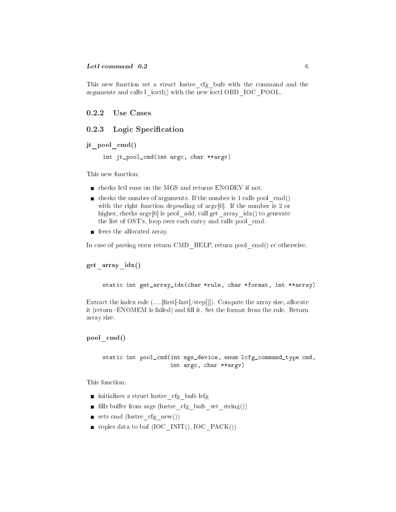This new function set a struct lustre cfg bufs with the command and the arguments and calls l\_ioctl() with the new ioctl OBD\_IOC\_POOL.

#### <span id="page-6-1"></span><span id="page-6-0"></span> $0.2.2$ Use Cases

#### 0.2.3Logic Specification

## jt pool cmd()

int jt\_pool\_
md(int arg
, har \*\*argv)

This new function:

- $\blacksquare$  checks letl runs on the MGS and returns ENODEV if not.
- checks the number of arguments. If the number is 1 calls pool  $\text{cmd}()$ with the right function depending of  $\arg v[0]$ . If the number is 2 or higher, checks argv[0] is pool\_add, call get\_array\_idx() to generate the list of OST's, loop over each entry and calls pool cmd.
- frees the allocated array.

In case of parsing error return CMD HELP, return pool cmd() rc otherwise.

```
get array idx()
```

```
stati
 int get_array_idx(
har *rule, 
har *format, int **array)
```
Extract the index rule (..... [first[-last[/step]]]). Compute the array size, allocate it (return -ENOMEM is failed) and fill it. Set the format from the rule. Return array size.

pool\_
md()

static int pool\_cmd(int mgs\_device, enum lcfg\_command\_type cmd, int arg
, har \*\*argv)

- initializes a struct lustre cfg bufs lcfg
- fills buffer from args (lustre\_cfg\_bufs\_set\_string())
- $\blacksquare$  sets cmd (lustre cfg new())
- $\blacksquare$  copies data to buf (IOC\_INIT(), IOC\_PACK())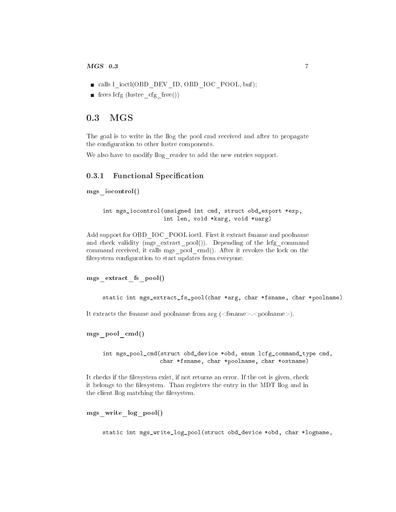- calls l\_ioctl(OBD\_DEV\_ID, OBD\_IOC\_POOL, buf);
- $\blacksquare$ frees l<br/>cfg (lustre\_cfg\_free())

#### <span id="page-7-0"></span> $0.3$ **MGS**

The goal is to write in the llog the pool cmd received and after to propagate the configuration to other lustre components.

<span id="page-7-1"></span>We also have to modify llog reader to add the new entries support.

#### 0.3.1Functional Specification

```
mgs_io
ontrol()
```

```
int mgs_iocontrol(unsigned int cmd, struct obd_export *exp,
                  int len, void *karg, void *uarg)
```
Add support for OBD IOC POOL ioctl. First it extract fsname and poolname and check validity (mgs\_extract\_pool()). Depending of the lcfg\_command command received, it calls mgs pool cmd(). After it revokes the lock on the filesystem configuration to start updates from everyone.

mgs\_extra
t\_fs\_pool()

static int mgs\_extract\_fs\_pool(char \*arg, char \*fsname, char \*poolname)

It extracts the fsname and poolname from arg  $\langle$  {fsname>. $\langle$ poolname>).

mgs\_pool\_
md()

int mgs\_pool\_cmd(struct obd\_device \*obd, enum lcfg\_command\_type cmd, char \*fsname, char \*poolname, char \*ostname)

It checks if the filesystem exist, if not returns an error. If the ost is given, check it belongs to the filesystem. Than registers the entry in the MDT llog and in the client llog matching the filesystem.

```
mgs_write_log_pool()
```
static int mgs\_write\_log\_pool(struct obd\_device \*obd, char \*logname,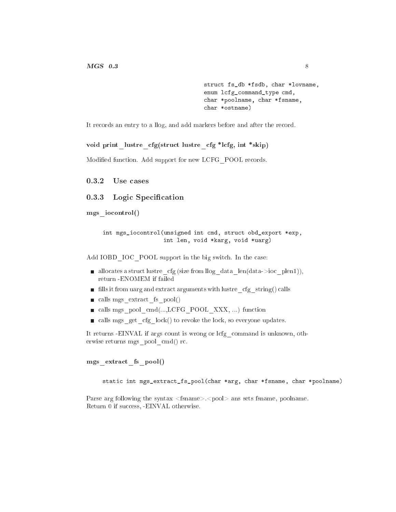stru
t fs\_db \*fsdb, har \*lovname, enum lcfg\_command\_type cmd, char \*poolname, char \*fsname, char \*ostname)

It records an entry to a llog, and add markers before and after the record.

#### $\alpha$  is the function of  $\alpha$  internal function  $\alpha$  in  $\alpha$  in  $\alpha$  in  $\alpha$  in  $\alpha$  in  $\alpha$  in  $\alpha$

<span id="page-8-0"></span>Modified function. Add support for new LCFG POOL records.

<span id="page-8-1"></span> $0.3.2$ Use cases

## 0.3.3 Logic Specification

mgs\_io
ontrol()

```
int mgs_iocontrol(unsigned int cmd, struct obd_export *exp,
                  int len, void *karg, void *uarg)
```
Add IOBD IOC POOL support in the big switch. In the case:

- | allocates a struct lustre cfg (size from llog data len(data->ioc plen1)), return -ENOMEM if failed
- $\blacksquare$  fills it from uarg and extract arguments with lustre cfg string() calls
- calls mgs extract fs  $pool()$
- calls mgs\_pool\_cmd(...,LCFG\_POOL\_XXX, ...) function
- calls mgs get cfg lock() to revoke the lock, so everyone updates.

It returns -EINVAL if args count is wrong or lefg\_command is unknown, otherwise returns mgs pool cmd() rc.

#### mgs\_extra
t\_fs\_pool()

```
static int mgs_extract_fs_pool(char *arg, char *fsname, char *poolname)
```
Parse arg following the syntax <fsname>.<pool> ans sets fsname, poolname. Return 0 if success, -EINVAL otherwise.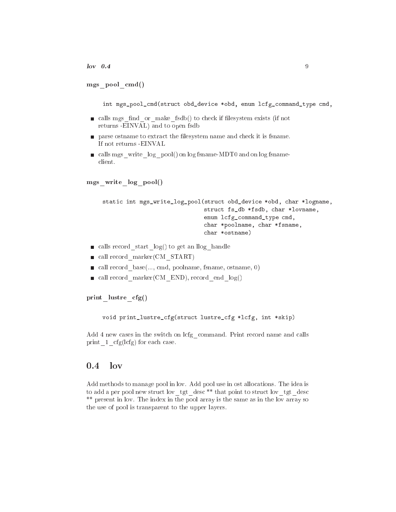```
mgs_pool_
md()
```
int mgs\_pool\_cmd(struct obd\_device \*obd, enum lcfg\_command\_type cmd,

- calls mgs find or make fsdb() to check if filesystem exists (if not returns -EINVAL) and to open fsdb
- **n** parse ostname to extract the filesystem name and check it is fsname. If not returns -EINVAL
- alls mgs write log pool() on log fsname-MDT0 and on log fsnameclient.

```
mgs_write_log_pool()
```

```
static int mgs_write_log_pool(struct obd_device *obd, char *logname,
                              stru
t fs_db *fsdb, 
har *lovname,
                              enum lcfg_command_type cmd,
                              char *poolname, char *fsname,
                              char *ostname)
```
- calls record start  $log()$  to get an llog handle
- **a** call record marker(CM START)
- call record base(..., cmd, poolname, fsname, ostname, 0)
- call record marker(CM\_END), record end  $log()$

print lustre cfg()

```
void print_lustre_
fg(stru
t lustre_
fg *l
fg, int *skip)
```
Add 4 new cases in the switch on lcfg command. Print record name and calls print 1  $\text{cfg}(\text{lcfg})$  for each case.

#### <span id="page-9-0"></span>0.4lov

Add methods to manage pool in lov. Add pool use in ost allocations. The idea is to add a per pool new struct lov tgt desc<sup>\*\*</sup> that point to struct lov tgt desc \*\* present in lov. The index in the pool array is the same as in the lov array so the use of pool is transparent to the upper layers.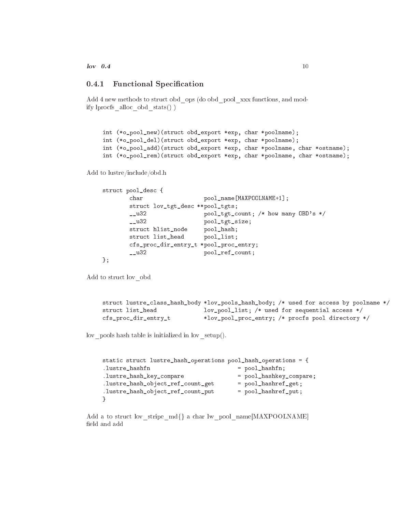#### <span id="page-10-0"></span> $0.4.1$ Functional Specification

Add 4 new methods to struct obd ops (do obd pool xxx functions, and modify lprocfs alloc obd  $stats()$ 

```
int (*o_pool_new)(struct obd_export *exp, char *poolname);
int (*o_pool_del)(struct obd_export *exp, char *poolname);
int (*o_pool_add)(struct obd_export *exp, char *poolname, char *ostname);
int (*o_pool_rem)(struct obd_export *exp, char *poolname, char *ostname);
```
Add to lustre/in
lude/obd.h

```
struct pool_desc {
          char pool_name[MAXPOOLNAME+1];
          struct lov_tgt_desc **pool_tgts;
          __u32 pool_tgt_
ount; /* how many OBD's */
          __u32 pool_tgt_size;
          structure that the pool of the pool of the pool of the pool of the pool of the pool of the pool of the pool of
          structure is the pool of the pool of the second of the second structure of the second structure of the second 
          cfs_proc_dir_entry_t *pool_proc_entry;
          __u32 pool_ref_
ount;
};
```
Add to stru
t lov\_obd

|                      | struct lustre_class_hash_body *lov_pools_hash_body; /* used for access by poolname */ |
|----------------------|---------------------------------------------------------------------------------------|
| struct list head     | $\frac{1}{\sqrt{2}}$ lov_pool_list; /* used for sequential access */                  |
| cfs_proc_dir_entry_t | *lov_pool_proc_entry; /* procfs pool directory */                                     |

lov pools hash table is initialized in lov  $setup()$ .

```
stati
 stru
t lustre_hash_operations pool_hash_operations = {
.lustre_hashfn = pool_hashfn = pool_hashfn = pool_hashfn = pool_hashfn = pool_hashfn = pool_hashfn = pool_hash
.lustre_hashkey_boom_hashkey_boom_hashkey_hashkey_hashkey_hashkey_hashkey_hashkey_hashkey_hashkey_h
.lustre_hash_obje
t_ref_
ount_get = pool_hashref_get;
.lustre_hashref_put = pool_hashref_put = pool_hashref_put = pool_hashref_put = p
}
```
Add a to struct lov stripe md{} a char lw\_pool\_name[MAXPOOLNAME] field and add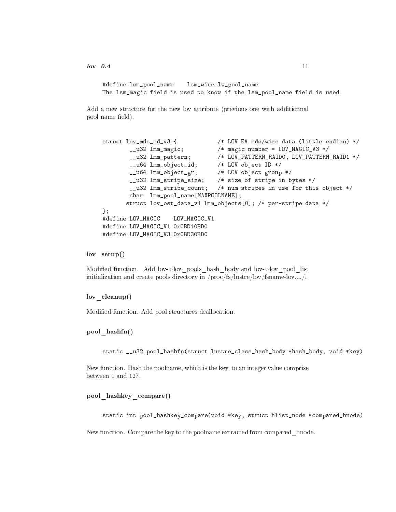```
#define lsm_pool_name lsm_wire.lw_pool_name
The lsm_magi
 field is used to know if the lsm_pool_name field is used.
```
Add a new structure for the new lov attribute (previous one with additionnal pool name field).

```
stru
t lov_mds_md_v3 { /* LOV EA mds/wire data (little-endian) */
       __u32 lmm_magic; /* magic number = LOV_MAGIC_V3 */
       __u32 lmm_pattern; /* LOV_PATTERN_RAID0, LOV_PATTERN_RAID1 */
       __u64 lmm_obje
t_id; /* LOV obje
t ID */
       __u64 lmm_obje
t_gr; /* LOV obje
t group */
       __u32 lmm_stripe_size; /* size of stripe in bytes */
       __u32 lmm_stripe_
ount; /* num stripes in use for this obje
t */
       char lmm_pool_name[MAXPOOLNAME];
      struct lov_ost_data_v1 lmm_objects[0]; /* per-stripe data */
};
#define LOV_MAGIC LOV_MAGIC_V1
#define LOV_MAGIC_V1 0x0BD10BD0
#define LOV_MAGIC_V3 0x0BD30BD0
```
#### $\mathbf{lov} \quad \mathbf{setup}()$

Modified function. Add lov->lov\_pools\_hash\_body and lov->lov\_pool\_list initialization and create pools directory in /proc/fs/lustre/lov/fsname-lov..../.

#### lov cleanup()

Modified function. Add pool structures deallocation.

## pool\_hashfn()

static \_\_u32 pool\_hashfn(struct lustre\_class\_hash\_body \*hash\_body, void \*key)

New fun
tion. Hash the poolname, whi
h is the key, to an integer value omprise between 0 and 127.

### pool\_hashkey\_
ompare()

static int pool\_hashkey\_compare(void \*key, struct hlist\_node \*compared\_hnode)

New function. Compare the key to the poolname extracted from compared hnode.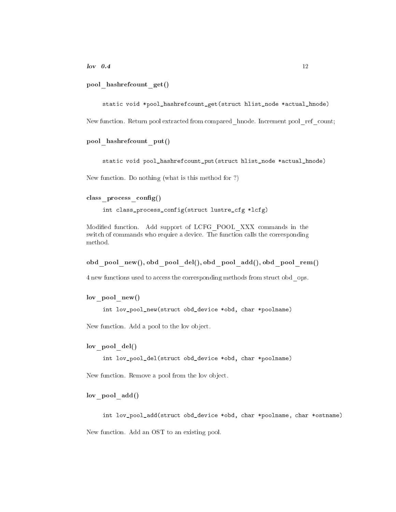pose and contract the contract of  $\sim$ 

static void \*pool\_hashrefcount\_get(struct hlist\_node \*actual\_hnode)

New function. Return pool extracted from compared hnode. Increment pool ref count;

#### pool hashrefcount put()

static void pool\_hashrefcount\_put(struct hlist\_node \*actual\_hnode)

New fun
tion. Do nothing (what is this method for ?)

```
class process config()
```
int class\_process\_config(struct lustre\_cfg \*lcfg)

Modified function. Add support of LCFG POOL XXX commands in the switch of commands who require a device. The function calls the corresponding method.

obd\_pool\_new(), obd\_pool\_del(), obd\_pool\_add(), obd\_pool\_rem()

4 new functions used to access the corresponding methods from struct obd ops.

 $\text{lov pool new}()$ 

int lov\_pool\_new(struct obd\_device \*obd, char \*poolname)

New function. Add a pool to the lov object.

#### $\mathbf{lov} \quad \mathbf{pool} \quad \mathbf{del}()$

int lov\_pool\_del(struct obd\_device \*obd, char \*poolname)

New function. Remove a pool from the lov object.

## lov pool add()

int lov\_pool\_add(struct obd\_device \*obd, char \*poolname, char \*ostname) New fun
tion. Add an OST to an existing pool.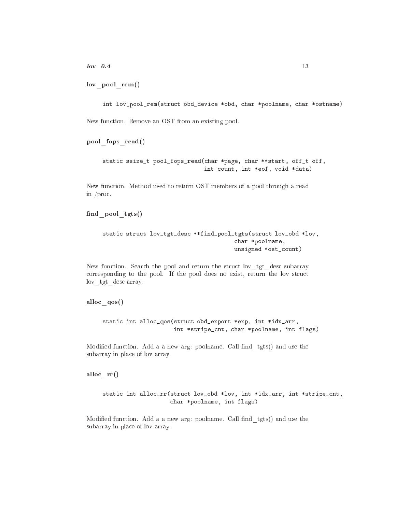lov\_pool\_rem()

int lov\_pool\_rem(struct obd\_device \*obd, char \*poolname, char \*ostname) New fun
tion. Remove an OST from an existing pool.

pool fops read()

static ssize\_t pool\_fops\_read(char \*page, char \*\*start, off\_t off, int ount, int \*eof, void \*data)

New fun
tion. Method used to return OST members of a pool through a read in /pro
.

find pool  $tgts()$ 

```
static struct lov_tgt_desc **find_pool_tgts(struct lov_obd *lov,
                                       char *poolname,
                                       unsigned *ost_
ount)
```
New function. Search the pool and return the struct lov tgt desc subarray corresponding to the pool. If the pool does no exist, return the lov struct lov tgt desc array.

#### alloc qos()

static int alloc\_qos(struct obd\_export \*exp, int \*idx\_arr, int \*stripe\_
nt, har \*poolname, int flags)

Modified function. Add a a new arg: poolname. Call find tgts() and use the subarray in pla
e of lov array.

alloc  $rr()$ 

static int alloc\_rr(struct lov\_obd \*lov, int \*idx\_arr, int \*stripe\_cnt, char \*poolname, int flags)

Modified function. Add a a new arg: poolname. Call find\_tgts() and use the subarray in pla
e of lov array.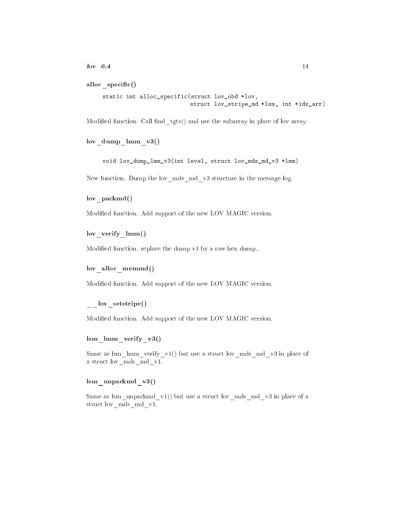$\log 0.4$ 

alloc specific()

static int alloc\_specific(struct lov\_obd \*lov, stru
t lov\_stripe\_md \*lsm, int \*idx\_arr)

Modified function. Call find tgts() and use the subarray in place of lov array.

lov dump  $\lim_{x\to 3(x)}$ 

void lov\_dump\_lmm\_v3(int level, stru
t lov\_mds\_md\_v3 \*lmm)

New function. Dump the lov mds md v3 structure in the message log.

lov packmd()

Modified function. Add support of the new LOV MAGIC version.

lov\_verify\_lmm()

Modified function. replace the dump v1 by a raw hex dump..

lov alloc memmd()

Modified function. Add support of the new LOV MAGIC version.

## lov setstripe()

Modified function. Add support of the new LOV MAGIC version.

lsm\_lmm\_verify\_v3()

Same as  $lsm_lmm\_verify_v1()$  but use a struct lov\_mds\_md\_v3 in place of a struct lov\_mds\_md\_v1.

## lsm\_unpa
kmd\_v3()

Same as  $lsm\_unpackmd\_vl()$  but use a struct lov\_mds\_md\_v3 in place of a struct lov\_mds\_md\_v1.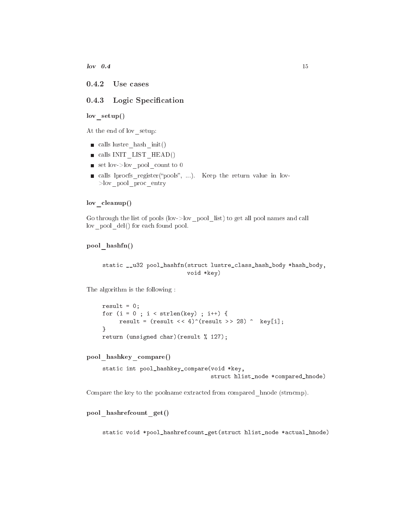$\log 0.4$ 

<span id="page-15-1"></span><span id="page-15-0"></span> $0.4.2$ Use cases

#### Logic Specification  $0.4.3$

lov setup()

At the end of lov\_setup:

- calls lustre hash  $init()$
- $\blacksquare$  calls INIT LIST HEAD()
- $\blacksquare$  set lov- $>$ lov pool count to 0
- calls lprocfs register("pools", ...). Keep the return value in lov->lov\_pool\_proc\_entry

## lov cleanup()

Go through the list of pools (lov->lov\_pool\_list) to get all pool names and call lov\_pool\_del() for each found pool.

```
p \sim \sim 10^{-4} and p \sim 10^{-4}
```
static \_\_u32 pool\_hashfn(struct lustre\_class\_hash\_body \*hash\_body, void \*key)

The algorithm is the following :

```
result = 0;for (i = 0; i < strlen(key); i++) {
     result = (result \leq 4)^{(result)} > 28) ^ key[i];
\mathcal{F}}
return (unsigned char) (result % 127);
```
pool\_hashkey\_
ompare()

```
static int pool_hashkey_compare(void *key,
                                stru
t hlist_node *
ompared_hnode)
```
Compare the key to the poolname extracted from compared hnode (strncmp).

pool hashrefcount get()

static void \*pool\_hashrefcount\_get(struct hlist\_node \*actual\_hnode)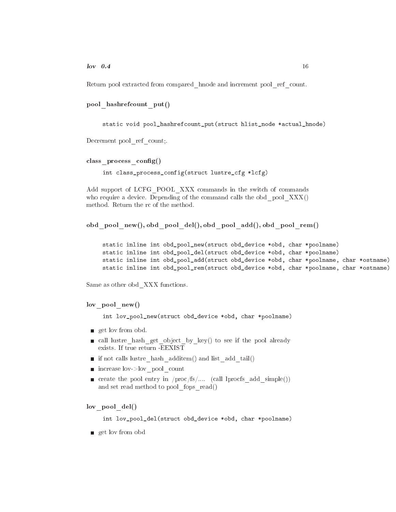Return pool extracted from compared hnode and increment pool ref count.

```
pool hashrefcount put()
```
static void pool\_hashrefcount\_put(struct hlist\_node \*actual\_hnode)

Decrement pool ref count;.

```
class process config()
```
int class\_process\_config(struct lustre\_cfg \*lcfg)

Add support of LCFG POOL XXX commands in the switch of commands who require a device. Depending of the command calls the obd pool  $XXX()$ method. Return the rc of the method.

```
obd_pool_new(), obd_pool_del(), obd_pool_add(), obd_pool_rem()
```

```
stati
 inline int obd_pool_new(stru
t obd_devi
e *obd, 
har *poolname)
stati
 inline int obd_pool_del(stru
t obd_devi
e *obd, 
har *poolname)
static inline int obd_pool_add(struct obd_device *obd, char *poolname, char *ostname)
static inline int obd pool rem(struct obd device *obd, char *poolname, char *ostname)
```
Same as other obd XXX functions.

```
lov pool new()
```
int lov\_pool\_new(struct obd\_device \*obd, char \*poolname)

- get lov from obd.
- all lustre hash get object by key() to see if the pool already exists. If true return -EEXIST
- if not alls lustre\_hash\_additem() and list\_add\_tail()
- increase lov->lov\_pool\_count
- reate the pool entry in  $/proc/fs/....$  (call lprocfs add simple()) and set read method to pool\_fops\_read()

lov pool del()

int lov\_pool\_del(struct obd\_device \*obd, char \*poolname)

**get lov from obd**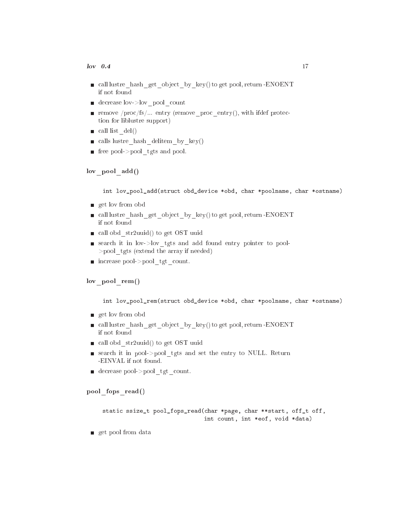- call lustre hash\_get\_object\_by\_key() to get pool, return -ENOENT if not found
- decrease lov->lov\_pool\_count
- **remove** /proc/fs/... entry (remove\_proc\_entry(), with ifdef protection for liblustre support)
- call list  $del()$
- calls lustre hash delitem by  $key()$
- **f** free pool->pool\_tgts and pool.

### $\mathbf{lov} \quad \mathbf{pool} \quad \mathbf{add}()$

int lov\_pool\_add(struct obd\_device \*obd, char \*poolname, char \*ostname)

- get lov from obd
- call lustre\_hash\_get\_object\_by\_key() to get pool, return -ENOENT if not found
- call obd  $str2uuid()$  to get OST uuid
- search it in lov->lov tgts and add found entry pointer to pool->pool\_tgts (extend the array if needed)
- increase pool->pool\_tgt\_count.

#### lov\_pool\_rem()

int lov\_pool\_rem(struct obd\_device \*obd, char \*poolname, char \*ostname)

- get lov from obd
- q call lustre hash get object by key() to get pool, return -ENOENT if not found
- call obd  $str2uuid()$  to get OST uuid
- search it in pool->pool tgts and set the entry to NULL. Return -EINVAL if not found.
- decrease pool- $>$ pool tgt count.

## pool fops read()

```
stati
 ssize_t pool_fops_read(
har *page, 
har **start, off_t off,
                              int 
ount, int *eof, void *data)
```
get pool from data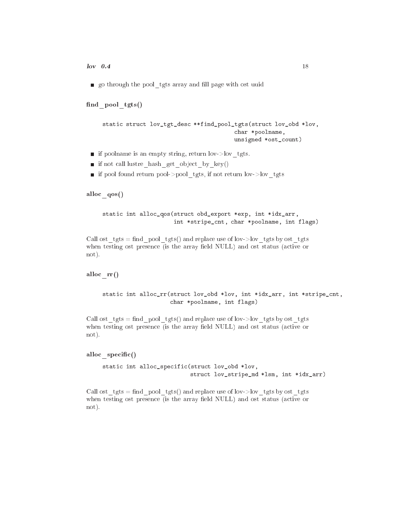$\log 0.4$ 

go through the pool tgts array and fill page with ost uuid

```
find pool\_tgts()
```

```
static struct lov_tgt_desc **find_pool_tgts(struct lov_obd *lov,
                                       char *poolname,
                                       unsigned *ost_
ount)
```
- if poolname is an empty string, return lov- $>$ lov tgts.
- if not call lustre hash get object by  $key()$
- if pool found return pool->pool\_tgts, if not return lov->lov\_tgts

```
alloc qos()
```

```
static int alloc_qos(struct obd_export *exp, int *idx_arr,
                     int *stripe cnt, char *poolname, int flags)
```
Call ost  $tgts = find$  pool  $tgts()$  and replace use of lov- $>$ lov tgts by ost tgts when testing ost presence (is the array field NULL) and ost status (active or not).

## alloc  $rr()$

```
static int alloc_rr(struct lov_obd *lov, int *idx_arr, int *stripe_cnt,
                    char *poolname, int flags)
```
Call ost  $tgts = find$  pool tgts() and replace use of lov- $>$ lov tgts by ost tgts when testing ost presence (is the array field NULL) and ost status (active or not).

```
alloc _specific()
```
static int alloc\_specific(struct lov\_obd \*lov, stru
t lov\_stripe\_md \*lsm, int \*idx\_arr)

Call ost  $\text{ t}$  gts = find \_pool\_tgts() and replace use of lov->lov\_tgts by ost\_tgts when testing ost presence (is the array field NULL) and ost status (active or not).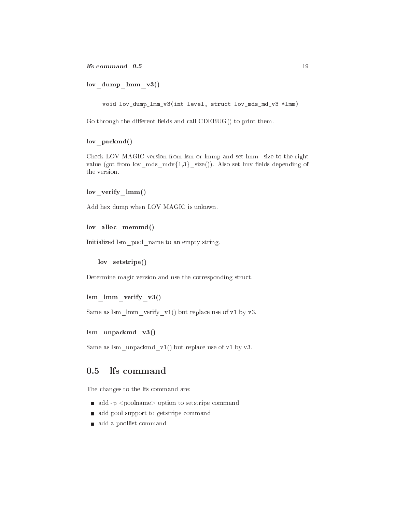lov dump  $lmm$  v3()

void lov\_dump\_lmm\_v3(int level, stru
t lov\_mds\_md\_v3 \*lmm)

Go through the different fields and call  $\mathrm{CDEBUG}()$  to print them.

lov packmd()

Che
k LOV MAGIC version from lsm or lmmp and set lmm\_size to the right value (got from lov\_mds\_mdv{1,3}\_size()). Also set lmv fields depending of the version.

```
lov_verify_lmm()
```
Add hex dump when LOV MAGIC is unkown.

```
lov alloc memmd()
```
Initialized lsm\_pool\_name to an empty string.

```
__lov_setstripe()
```
Determine magic version and use the corresponding struct.

## lsm\_lmm\_verify\_v3()

Same as  $lsm$  lmm verify  $v1()$  but replace use of v1 by v3.

#### lsm\_unpa
kmd\_v3()

<span id="page-19-0"></span>Same as lsm\_unpackmd\_v1() but replace use of v1 by v3.

#### lfs command  $0.5$

The hanges to the lfs ommand are:

- $\blacksquare$  add -p <poolname> option to setstripe command
- add pool support to getstripe command
- add a poollist command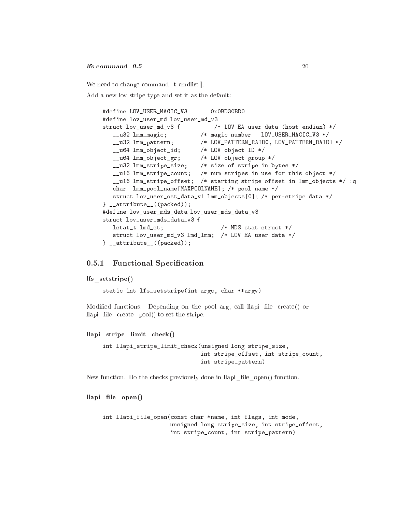We need to change command  $\tau$  cmdlist.

Add a new lov stripe type and set it as the default:

```
#define LOV_USER_MAGIC_V3 0x0BD30BD0
#define lov_user_md lov_user_md_v3
stru
t lov_user_md_v3 { /* LOV EA user data (host-endian) */
   __u32 lmm_magi
; /* magi
 number = LOV_USER_MAGIC_V3 */
   __u32 lmm_pattern; /* LOV_PATTERN_RAID0, LOV_PATTERN_RAID1 */
  __u64 lmm_object_id;
  __u64 lmm_obje
t_gr; /* LOV obje
t group */
  __u32 lmm_stripe_size; /* size of stripe in bytes */
  __u16 lmm_stripe_
ount; /* num stripes in use for this obje
t */
  __u16 lmm_stripe_offset; /* starting stripe offset in lmm_obje
ts */ :q
  char lmm_pool_name[MAXPOOLNAME]; /* pool name */
  struct lov user ost data v1 lmm objects[0]; /* per-stripe data */
} attribute ((packed));
#define lov_user_mds_data lov_user_mds_data_v3
stru
t lov_user_mds_data_v3 {
  lstat_t lmd_st; /* MDS stat struct */stru
t lov_user_md_v3 lmd_lmm; /* LOV EA user data */
} __attribute__((packed));
```
#### <span id="page-20-0"></span>Functional Specification  $0.5.1$

#### $\sim$  sets to the sets of  $\sim$

```
stati
 int lfs_setstripe(int arg
, 
har **argv)
```
Modified functions. Depending on the pool arg, call llapi file create() or llapi file create pool() to set the stripe.

## llapi\_stripe\_limit\_
he
k()

```
int llapi_stripe_limit_
he
k(unsigned long stripe_size,
                             int stripe_offset, int stripe_count,
                             int stripe_pattern)
```
New function. Do the checks previously done in llapi file open() function.

llapi file open()

```
int llapi_file_open(
onst 
har *name, int flags, int mode,
                   unsigned long stripe_size, int stripe_offset,
                    int stripe_
ount, int stripe_pattern)
```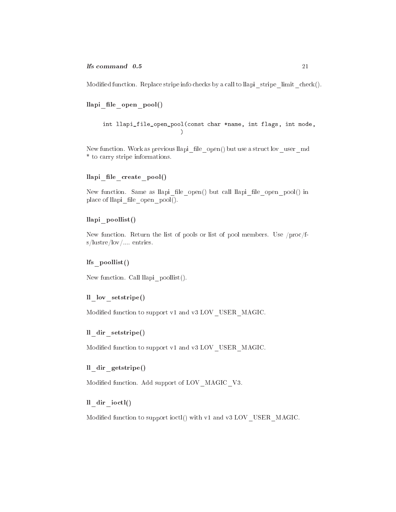Modified function. Replace stripe info checks by a call to llapi stripe limit check().

llapi file open pool()

```
int llapi_file_open_pool(
onst 
har *name, int flags, int mode,
                       )
```
New function. Work as previous llapi\_file\_open() but use a struct lov\_user\_md \* to arry stripe informations.

```
llapi file create pool()
```
New function. Same as llapi\_file\_open() but call llapi\_file\_open\_pool() in place of llapi\_file\_open\_pool().

## llapi\_poollist()

New function. Return the list of pools or list of pool members. Use /proc/fs/lustre/lov/.... entries.

## lfs\_poollist()

New function. Call llapi poollist().

#### ll\_lov\_setstripe()

Modified function to support v1 and v3 LOV\_USER\_MAGIC.

## ll\_dir\_setstripe()

Modified function to support v1 and v3 LOV\_USER\_MAGIC.

## ll\_dir\_getstripe()

Modified function. Add support of  $\text{LOV\_MAGIC\_V3}.$ 

## ll\_dir\_io
tl()

Modified function to support ioctl() with v1 and v3 LOV USER MAGIC.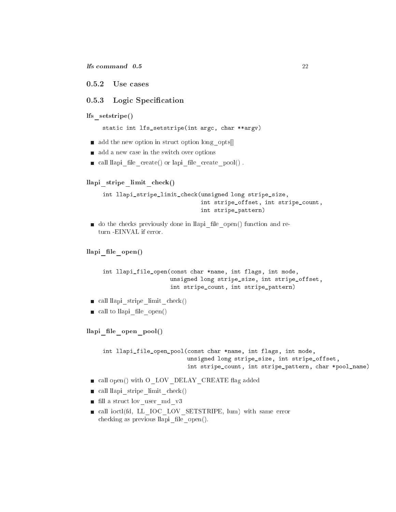```
0.5.2Use cases
```
#### Logic Specification  $0.5.3$

```
lfs_setstripe()
```
static int lfs\_setstripe(int argc, char \*\*argv)

- $\blacksquare$  add the new option in struct option long opts[
- $\blacksquare$  add a new case in the switch over options
- call llapi\_file\_create() or lapi\_file\_create\_pool().

## llapi stripe limit check()

```
int llapi_stripe_limit_check(unsigned long stripe_size,
                             int stripe_offset, int stripe_count,
                             int stripe_pattern)
```
do the checks previously done in llapi file open() function and return -EINVAL if error.

## llapi file open()

```
int llapi_file_open(
onst 
har *name, int flags, int mode,
                    unsigned long stripe_size, int stripe_offset,
                    int stripe_
ount, int stripe_pattern)
```
- call llapi stripe limit  $\text{check}()$
- $\blacksquare$  call to llapi file open()

```
llapi file open pool()
```

```
int llapi_file_open_pool(
onst 
har *name, int flags, int mode,
                         unsigned long stripe_size, int stripe_offset,
                         int stripe_
ount, int stripe_pattern, 
har *pool_name)
```
- call open() with O\_LOV\_DELAY\_CREATE flag added
- $\blacksquare$  call llapi stripe limit check()
- $\blacksquare$  fill a struct lov\_user\_md\_v3
- **a** call ioctl(fd, LL IOC LOV SETSTRIPE, lum) with same error checking as previous llapi file open().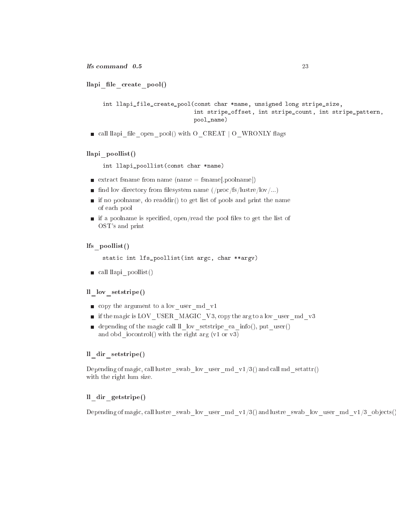reated the contract of the contract of the contract of the contract of the contract of the contract of the contract of the contract of the contract of the contract of the contract of the contract of the contract of the con

```
int llapi_file_
reate_pool(
onst 
har *name, unsigned long stripe_size,
                           int stripe_offset, int stripe_count, int stripe_pattern,
                           pool_name)
```
all llapi\_le\_open\_pool() with O\_CREAT | O\_WRONLY ags

llapi\_poollist()

int llapi\_poollist(
onst har \*name)

- **Extract fsname from name (name = fsname**, poolname)
- $\blacksquare$  find lov directory from filesystem name (/proc/fs/lustre/lov/...)
- $\blacksquare$  if no poolname, do readdir() to get list of pools and print the name of ea
h pool
- $\blacksquare$  if a poolname is specified, open/read the pool files to get the list of OST's and print

## lfs\_poollist()

stati int lfs\_poollist(int arg
, har \*\*argv)

call llapi  $p$ oollist()

## ll\_lov\_setstripe()

- opy the argument to a lov\_user\_md\_v1
- if the magic is LOV\_USER\_MAGIC\_V3, copy the arg to a lov\_user\_md\_v3
- depending of the magic call ll\_lov\_setstripe\_ea\_info(), put\_user() and obd  $\sim$  iocontrol() with the right arg (v1 or v3)

## ll\_dir\_setstripe()

Depending of magic, call lustre\_swab\_lov\_user\_md\_v1/3() and call md\_setattr() with the right lum size.

## ll\_dir\_getstripe()

Depending of magic, call lustre\_swab\_lov\_user\_md\_v1/3() and lustre\_swab\_lov\_user\_md\_v1/3\_objects(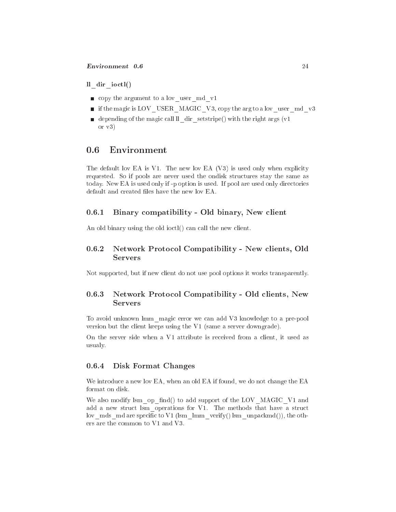ll\_dir\_io
tl()

- copy the argument to a lov user md v1
- if the magic is LOV\_USER\_MAGIC\_V3, copy the arg to a lov\_user\_md\_v3
- depending of the magic call  $\parallel$  dir setstripe() with the right args (v1 or v3)

#### <span id="page-24-0"></span> $0.6$ Environment

The default lov EA is V1. The new lov EA  $(V3)$  is used only when explicity requested. So if pools are never used the ondisk stru
tures stay the same as today. New EA is used only if -p option is used. If pool are used only dire
tories default and created files have the new lov EA.

#### <span id="page-24-1"></span> $0.6.1$ Binary ompatibility - Old binary, New lient

<span id="page-24-2"></span>An old binary using the old ioctl() can call the new client.

#### Network Proto
ol Compatibility - New lients, Old 0.6.2 **Servers**

<span id="page-24-3"></span>Not supported, but if new lient do not use pool options it works transparently.

#### 0.6.3 Network Proto
ol Compatibility - Old lients, New  $-$

To avoid unknown lmm\_magi error we an add V3 knowledge to a pre-pool version but the client keeps using the V1 (same a server downgrade).

On the server side when a V1 attribute is re
eived from a lient, it used as usualy.

#### <span id="page-24-4"></span>0.6.4Disk Format Changes

We introduce a new lov EA, when an old EA if found, we do not change the EA format on disk.

We also modify lsm\_op\_find() to add support of the LOV\_MAGIC\_V1 and add a new struct lsm operations for V1. The methods that have a struct lov\_mds\_md are specific to V1 (lsm\_lmm\_verify() lsm\_unpackmd()), the others are the ommon to V1 and V3.